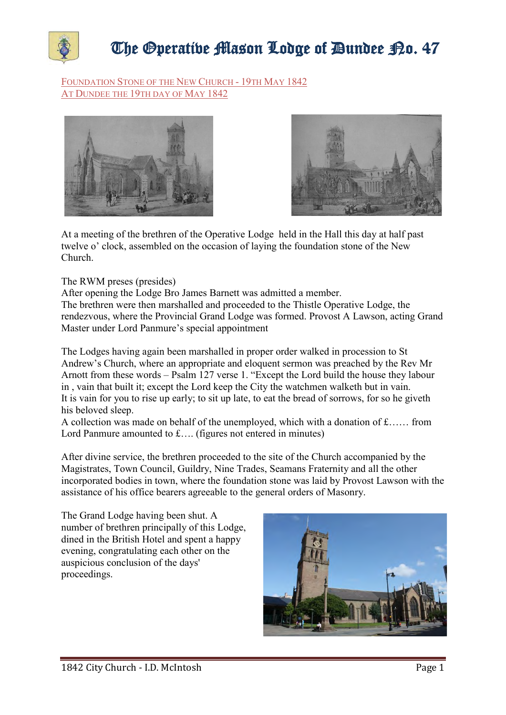

## The Operative Mason Lodge of Dundee P.o. 47

FOUNDATION STONE OF THE NEW CHURCH - 19TH MAY 1842 AT DUNDEE THE 19TH DAY OF MAY 1842





At a meeting of the brethren of the Operative Lodge held in the Hall this day at half past twelve o' clock, assembled on the occasion of laying the foundation stone of the New Church.

The RWM preses (presides)

After opening the Lodge Bro James Barnett was admitted a member. The brethren were then marshalled and proceeded to the Thistle Operative Lodge, the rendezvous, where the Provincial Grand Lodge was formed. Provost A Lawson, acting Grand Master under Lord Panmure's special appointment

The Lodges having again been marshalled in proper order walked in procession to St Andrew's Church, where an appropriate and eloquent sermon was preached by the Rev Mr Arnott from these words – Psalm 127 verse 1. "Except the Lord build the house they labour in , vain that built it; except the Lord keep the City the watchmen walketh but in vain. It is vain for you to rise up early; to sit up late, to eat the bread of sorrows, for so he giveth his beloved sleep.

A collection was made on behalf of the unemployed, which with a donation of £…… from Lord Panmure amounted to £…. (figures not entered in minutes)

After divine service, the brethren proceeded to the site of the Church accompanied by the Magistrates, Town Council, Guildry, Nine Trades, Seamans Fraternity and all the other incorporated bodies in town, where the foundation stone was laid by Provost Lawson with the assistance of his office bearers agreeable to the general orders of Masonry.

The Grand Lodge having been shut. A number of brethren principally of this Lodge, dined in the British Hotel and spent a happy evening, congratulating each other on the auspicious conclusion of the days' proceedings.